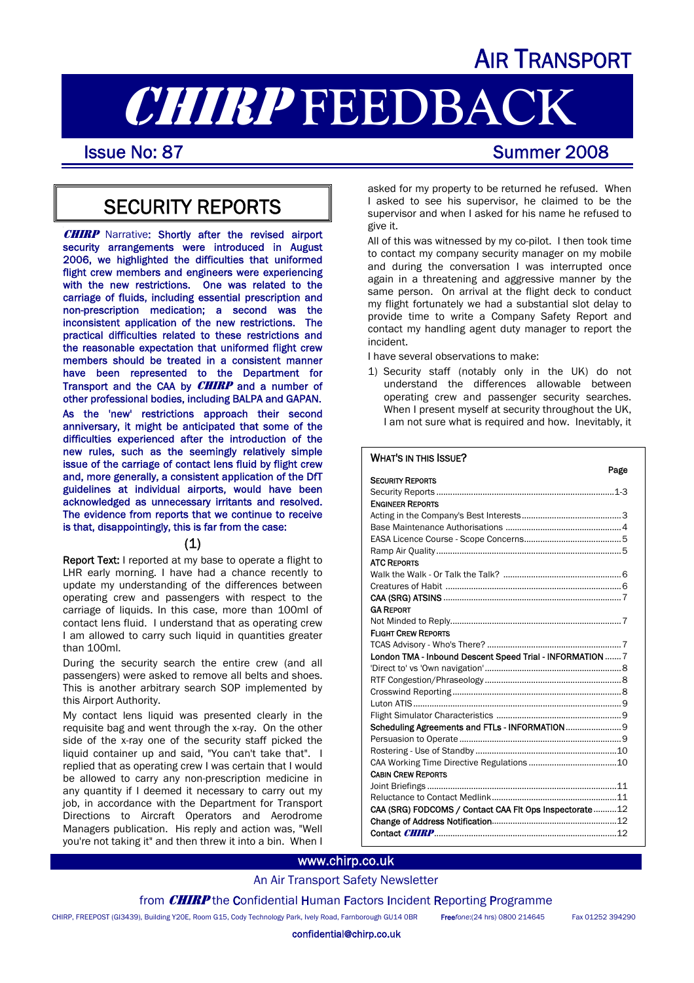# AIR TRANSPORT

# **CHIRP FEEDBACK**<br>Issue No: 87<br>Summer 2008

# SECURITY REPORTS

**CHIRP** Narrative: Shortly after the revised airport security arrangements were introduced in August 2006, we highlighted the difficulties that uniformed flight crew members and engineers were experiencing with the new restrictions. One was related to the carriage of fluids, including essential prescription and non-prescription medication; a second was the inconsistent application of the new restrictions. The practical difficulties related to these restrictions and the reasonable expectation that uniformed flight crew members should be treated in a consistent manner have been represented to the Department for Transport and the CAA by **CHIRP** and a number of other professional bodies, including BALPA and GAPAN. As the 'new' restrictions approach their second anniversary, it might be anticipated that some of the difficulties experienced after the introduction of the new rules, such as the seemingly relatively simple issue of the carriage of contact lens fluid by flight crew and, more generally, a consistent application of the DfT guidelines at individual airports, would have been acknowledged as unnecessary irritants and resolved. The evidence from reports that we continue to receive is that, disappointingly, this is far from the case:

#### (1)

Report Text: I reported at my base to operate a flight to LHR early morning. I have had a chance recently to update my understanding of the differences between operating crew and passengers with respect to the carriage of liquids. In this case, more than 100ml of contact lens fluid. I understand that as operating crew I am allowed to carry such liquid in quantities greater than 100ml.

During the security search the entire crew (and all passengers) were asked to remove all belts and shoes. This is another arbitrary search SOP implemented by this Airport Authority.

My contact lens liquid was presented clearly in the requisite bag and went through the x-ray. On the other side of the x-ray one of the security staff picked the liquid container up and said, "You can't take that". I replied that as operating crew I was certain that I would be allowed to carry any non-prescription medicine in any quantity if I deemed it necessary to carry out my job, in accordance with the Department for Transport Directions to Aircraft Operators and Aerodrome Managers publication. His reply and action was, "Well you're not taking it" and then threw it into a bin. When I asked for my property to be returned he refused. When I asked to see his supervisor, he claimed to be the supervisor and when I asked for his name he refused to give it.

All of this was witnessed by my co-pilot. I then took time to contact my company security manager on my mobile and during the conversation I was interrupted once again in a threatening and aggressive manner by the same person. On arrival at the flight deck to conduct my flight fortunately we had a substantial slot delay to provide time to write a Company Safety Report and contact my handling agent duty manager to report the incident.

I have several observations to make:

1) Security staff (notably only in the UK) do not understand the differences allowable between operating crew and passenger security searches. When I present myself at security throughout the UK, I am not sure what is required and how. Inevitably, it

#### WHAT'S IN THIS ISSUE?

| rage                                                      |
|-----------------------------------------------------------|
| <b>SECURITY REPORTS</b>                                   |
|                                                           |
| <b>ENGINEER REPORTS</b>                                   |
|                                                           |
|                                                           |
|                                                           |
|                                                           |
| <b>ATC REPORTS</b>                                        |
|                                                           |
|                                                           |
|                                                           |
| <b>GA REPORT</b>                                          |
|                                                           |
| <b>FLIGHT CREW REPORTS</b>                                |
|                                                           |
| London TMA - Inbound Descent Speed Trial - INFORMATION  7 |
|                                                           |
|                                                           |
|                                                           |
|                                                           |
|                                                           |
| Scheduling Agreements and FTLs - INFORMATION  9           |
|                                                           |
|                                                           |
|                                                           |
| <b>CABIN CREW REPORTS</b>                                 |
|                                                           |
|                                                           |
| CAA (SRG) FODCOMS / Contact CAA FIt Ops Inspectorate12    |
|                                                           |
|                                                           |
|                                                           |

#### www.chirp.co.uk

### An Air Transport Safety Newsletter

from **CHIRP** the Confidential Human Factors Incident Reporting Programme

CHIRP, FREEPOST (GI3439), Building Y20E, Room G15, Cody Technology Park, Ively Road, Farnborough GU14 0BR Free*fone*:(24 hrs) 0800 214645 Fax 01252 394290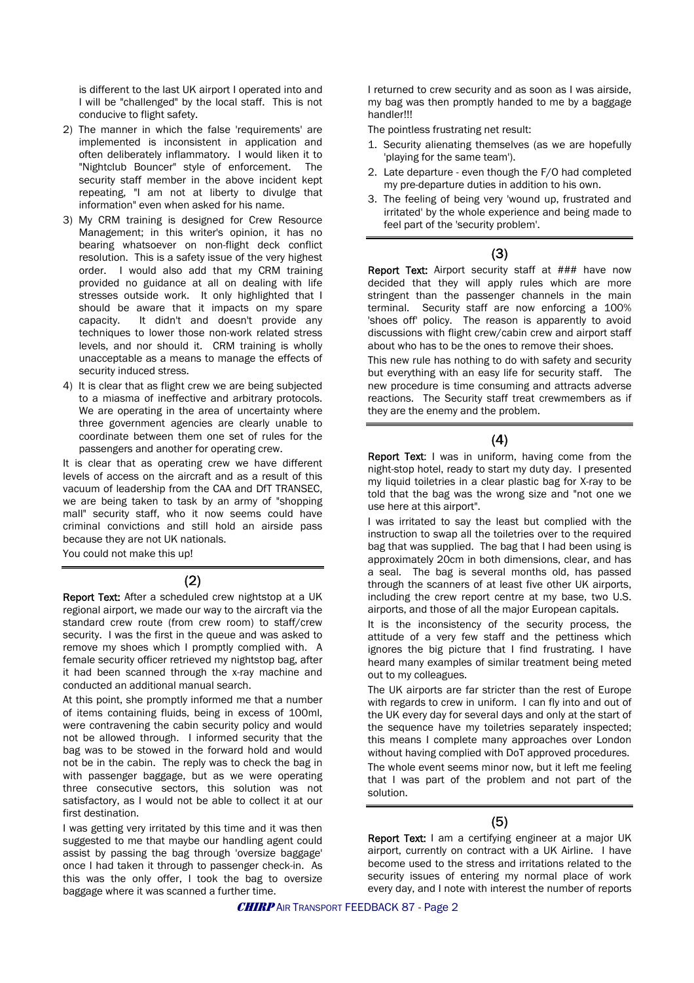is different to the last UK airport I operated into and I will be "challenged" by the local staff. This is not conducive to flight safety.

- 2) The manner in which the false 'requirements' are implemented is inconsistent in application and often deliberately inflammatory. I would liken it to "Nightclub Bouncer" style of enforcement. The security staff member in the above incident kept repeating, "I am not at liberty to divulge that information" even when asked for his name.
- 3) My CRM training is designed for Crew Resource Management; in this writer's opinion, it has no bearing whatsoever on non-flight deck conflict resolution. This is a safety issue of the very highest order. I would also add that my CRM training provided no guidance at all on dealing with life stresses outside work. It only highlighted that I should be aware that it impacts on my spare capacity. It didn't and doesn't provide any techniques to lower those non-work related stress levels, and nor should it. CRM training is wholly unacceptable as a means to manage the effects of security induced stress.
- 4) It is clear that as flight crew we are being subjected to a miasma of ineffective and arbitrary protocols. We are operating in the area of uncertainty where three government agencies are clearly unable to coordinate between them one set of rules for the passengers and another for operating crew.

It is clear that as operating crew we have different levels of access on the aircraft and as a result of this vacuum of leadership from the CAA and DfT TRANSEC, we are being taken to task by an army of "shopping mall" security staff, who it now seems could have criminal convictions and still hold an airside pass because they are not UK nationals.

You could not make this up!

#### (2)

Report Text: After a scheduled crew nightstop at a UK regional airport, we made our way to the aircraft via the standard crew route (from crew room) to staff/crew security. I was the first in the queue and was asked to remove my shoes which I promptly complied with. A female security officer retrieved my nightstop bag, after it had been scanned through the x-ray machine and conducted an additional manual search.

At this point, she promptly informed me that a number of items containing fluids, being in excess of 100ml, were contravening the cabin security policy and would not be allowed through. I informed security that the bag was to be stowed in the forward hold and would not be in the cabin. The reply was to check the bag in with passenger baggage, but as we were operating three consecutive sectors, this solution was not satisfactory, as I would not be able to collect it at our first destination.

I was getting very irritated by this time and it was then suggested to me that maybe our handling agent could assist by passing the bag through 'oversize baggage' once I had taken it through to passenger check-in. As this was the only offer, I took the bag to oversize baggage where it was scanned a further time.

I returned to crew security and as soon as I was airside, my bag was then promptly handed to me by a baggage handler!!!

The pointless frustrating net result:

- 1. Security alienating themselves (as we are hopefully 'playing for the same team').
- 2. Late departure even though the F/O had completed my pre-departure duties in addition to his own.
- 3. The feeling of being very 'wound up, frustrated and irritated' by the whole experience and being made to feel part of the 'security problem'.

#### (3)

Report Text: Airport security staff at ### have now decided that they will apply rules which are more stringent than the passenger channels in the main terminal. Security staff are now enforcing a 100% 'shoes off' policy. The reason is apparently to avoid discussions with flight crew/cabin crew and airport staff about who has to be the ones to remove their shoes.

This new rule has nothing to do with safety and security but everything with an easy life for security staff. The new procedure is time consuming and attracts adverse reactions. The Security staff treat crewmembers as if they are the enemy and the problem.

#### (4)

Report Text: I was in uniform, having come from the night-stop hotel, ready to start my duty day. I presented my liquid toiletries in a clear plastic bag for X-ray to be told that the bag was the wrong size and "not one we use here at this airport".

I was irritated to say the least but complied with the instruction to swap all the toiletries over to the required bag that was supplied. The bag that I had been using is approximately 20cm in both dimensions, clear, and has a seal. The bag is several months old, has passed through the scanners of at least five other UK airports, including the crew report centre at my base, two U.S. airports, and those of all the major European capitals.

It is the inconsistency of the security process, the attitude of a very few staff and the pettiness which ignores the big picture that I find frustrating. I have heard many examples of similar treatment being meted out to my colleagues.

The UK airports are far stricter than the rest of Europe with regards to crew in uniform. I can fly into and out of the UK every day for several days and only at the start of the sequence have my toiletries separately inspected; this means I complete many approaches over London without having complied with DoT approved procedures.

The whole event seems minor now, but it left me feeling that I was part of the problem and not part of the solution.

#### (5)

Report Text: I am a certifying engineer at a major UK airport, currently on contract with a UK Airline. I have become used to the stress and irritations related to the security issues of entering my normal place of work every day, and I note with interest the number of reports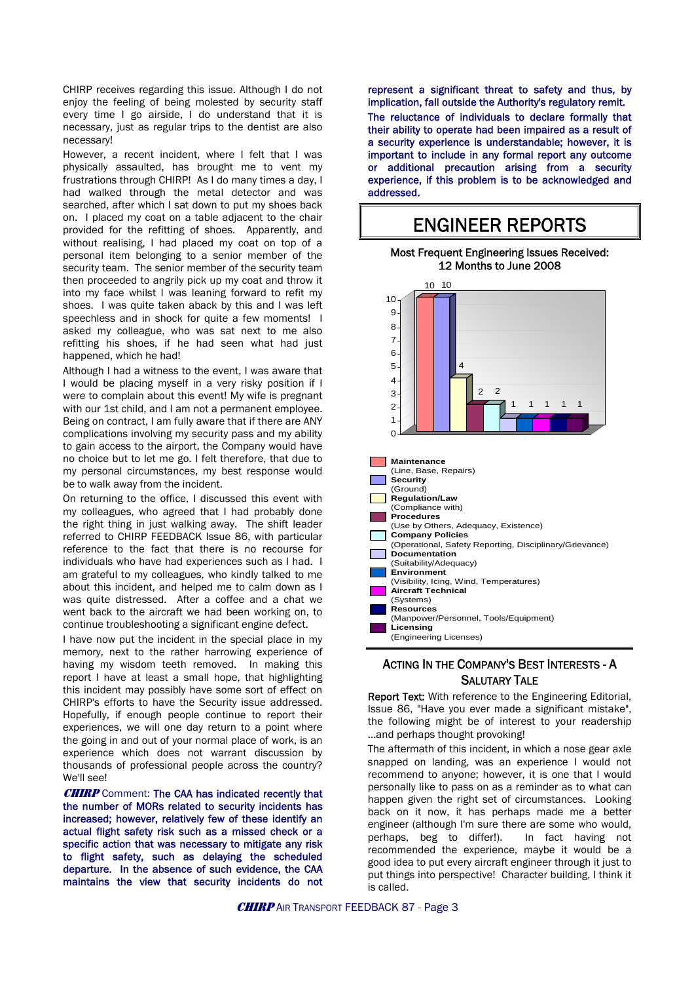CHIRP receives regarding this issue. Although I do not enjoy the feeling of being molested by security staff every time I go airside, I do understand that it is necessary, just as regular trips to the dentist are also necessary!

However, a recent incident, where I felt that I was physically assaulted, has brought me to vent my frustrations through CHIRP! As I do many times a day, I had walked through the metal detector and was searched, after which I sat down to put my shoes back on. I placed my coat on a table adjacent to the chair provided for the refitting of shoes. Apparently, and without realising, I had placed my coat on top of a personal item belonging to a senior member of the security team. The senior member of the security team then proceeded to angrily pick up my coat and throw it into my face whilst I was leaning forward to refit my shoes. I was quite taken aback by this and I was left speechless and in shock for quite a few moments! I asked my colleague, who was sat next to me also refitting his shoes, if he had seen what had just happened, which he had!

Although I had a witness to the event, I was aware that I would be placing myself in a very risky position if I were to complain about this event! My wife is pregnant with our 1st child, and I am not a permanent employee. Being on contract, I am fully aware that if there are ANY complications involving my security pass and my ability to gain access to the airport, the Company would have no choice but to let me go. I felt therefore, that due to my personal circumstances, my best response would be to walk away from the incident.

On returning to the office, I discussed this event with my colleagues, who agreed that I had probably done the right thing in just walking away. The shift leader referred to CHIRP FEEDBACK Issue 86, with particular reference to the fact that there is no recourse for individuals who have had experiences such as I had. I am grateful to my colleagues, who kindly talked to me about this incident, and helped me to calm down as I was quite distressed. After a coffee and a chat we went back to the aircraft we had been working on, to continue troubleshooting a significant engine defect.

I have now put the incident in the special place in my memory, next to the rather harrowing experience of having my wisdom teeth removed. In making this report I have at least a small hope, that highlighting this incident may possibly have some sort of effect on CHIRP's efforts to have the Security issue addressed. Hopefully, if enough people continue to report their experiences, we will one day return to a point where the going in and out of your normal place of work, is an experience which does not warrant discussion by thousands of professional people across the country? We'll see!

**CHIRP** Comment: The CAA has indicated recently that the number of MORs related to security incidents has increased; however, relatively few of these identify an actual flight safety risk such as a missed check or a specific action that was necessary to mitigate any risk to flight safety, such as delaying the scheduled departure. In the absence of such evidence, the CAA maintains the view that security incidents do not represent a significant threat to safety and thus, by implication, fall outside the Authority's regulatory remit. The reluctance of individuals to declare formally that their ability to operate had been impaired as a result of a security experience is understandable; however, it is important to include in any formal report any outcome or additional precaution arising from a security experience, if this problem is to be acknowledged and addressed.

## ENGINEER REPORTS





### ACTING IN THE COMPANY'S BEST INTERESTS - A SALUTARY TALE

Report Text: With reference to the Engineering Editorial, Issue 86, "Have you ever made a significant mistake", the following might be of interest to your readership …and perhaps thought provoking!

The aftermath of this incident, in which a nose gear axle snapped on landing, was an experience I would not recommend to anyone; however, it is one that I would personally like to pass on as a reminder as to what can happen given the right set of circumstances. Looking back on it now, it has perhaps made me a better engineer (although I'm sure there are some who would, perhaps, beg to differ!). In fact having not recommended the experience, maybe it would be a good idea to put every aircraft engineer through it just to put things into perspective! Character building, I think it is called.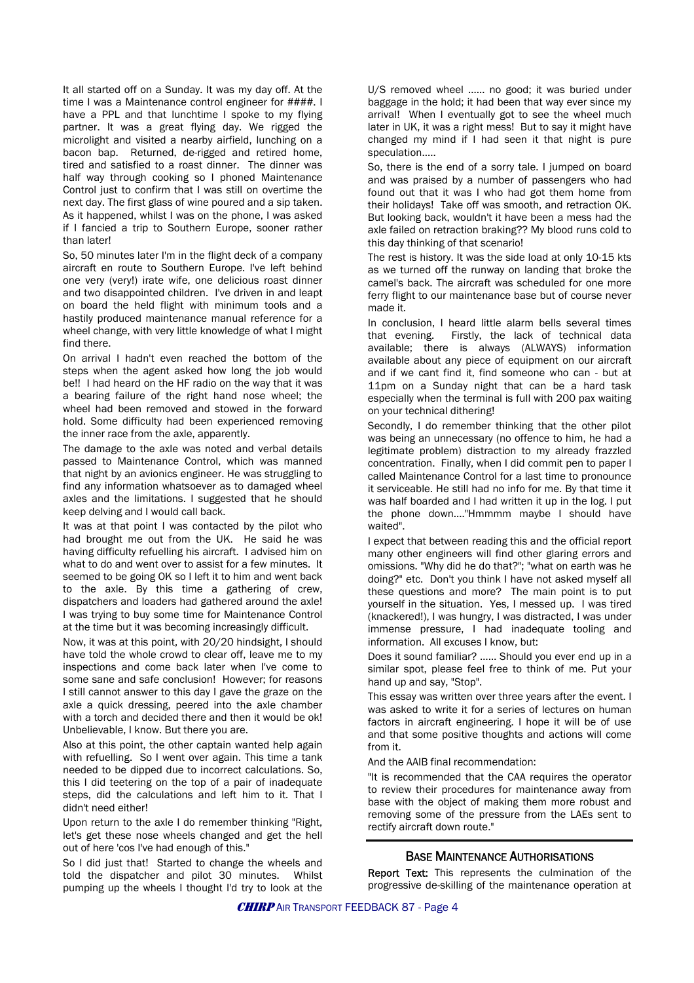It all started off on a Sunday. It was my day off. At the time I was a Maintenance control engineer for ####. I have a PPL and that lunchtime I spoke to my flying partner. It was a great flying day. We rigged the microlight and visited a nearby airfield, lunching on a bacon bap. Returned, de-rigged and retired home, tired and satisfied to a roast dinner. The dinner was half way through cooking so I phoned Maintenance Control just to confirm that I was still on overtime the next day. The first glass of wine poured and a sip taken. As it happened, whilst I was on the phone, I was asked if I fancied a trip to Southern Europe, sooner rather than later!

So, 50 minutes later I'm in the flight deck of a company aircraft en route to Southern Europe. I've left behind one very (very!) irate wife, one delicious roast dinner and two disappointed children. I've driven in and leapt on board the held flight with minimum tools and a hastily produced maintenance manual reference for a wheel change, with very little knowledge of what I might find there.

On arrival I hadn't even reached the bottom of the steps when the agent asked how long the job would be!! I had heard on the HF radio on the way that it was a bearing failure of the right hand nose wheel; the wheel had been removed and stowed in the forward hold. Some difficulty had been experienced removing the inner race from the axle, apparently.

The damage to the axle was noted and verbal details passed to Maintenance Control, which was manned that night by an avionics engineer. He was struggling to find any information whatsoever as to damaged wheel axles and the limitations. I suggested that he should keep delving and I would call back.

It was at that point I was contacted by the pilot who had brought me out from the UK. He said he was having difficulty refuelling his aircraft. I advised him on what to do and went over to assist for a few minutes. It seemed to be going OK so I left it to him and went back to the axle. By this time a gathering of crew, dispatchers and loaders had gathered around the axle! I was trying to buy some time for Maintenance Control at the time but it was becoming increasingly difficult.

Now, it was at this point, with 20/20 hindsight, I should have told the whole crowd to clear off, leave me to my inspections and come back later when I've come to some sane and safe conclusion! However; for reasons I still cannot answer to this day I gave the graze on the axle a quick dressing, peered into the axle chamber with a torch and decided there and then it would be ok! Unbelievable, I know. But there you are.

Also at this point, the other captain wanted help again with refuelling. So I went over again. This time a tank needed to be dipped due to incorrect calculations. So, this I did teetering on the top of a pair of inadequate steps, did the calculations and left him to it. That I didn't need either!

Upon return to the axle I do remember thinking "Right, let's get these nose wheels changed and get the hell out of here 'cos I've had enough of this."

So I did just that! Started to change the wheels and told the dispatcher and pilot 30 minutes. Whilst pumping up the wheels I thought I'd try to look at the U/S removed wheel ...... no good; it was buried under baggage in the hold; it had been that way ever since my arrival! When I eventually got to see the wheel much later in UK, it was a right mess! But to say it might have changed my mind if I had seen it that night is pure speculation.....

So, there is the end of a sorry tale. I jumped on board and was praised by a number of passengers who had found out that it was I who had got them home from their holidays! Take off was smooth, and retraction OK. But looking back, wouldn't it have been a mess had the axle failed on retraction braking?? My blood runs cold to this day thinking of that scenario!

The rest is history. It was the side load at only 10-15 kts as we turned off the runway on landing that broke the camel's back. The aircraft was scheduled for one more ferry flight to our maintenance base but of course never made it.

In conclusion, I heard little alarm bells several times that evening. Firstly, the lack of technical data available; there is always (ALWAYS) information available about any piece of equipment on our aircraft and if we cant find it, find someone who can - but at 11pm on a Sunday night that can be a hard task especially when the terminal is full with 200 pax waiting on your technical dithering!

Secondly, I do remember thinking that the other pilot was being an unnecessary (no offence to him, he had a legitimate problem) distraction to my already frazzled concentration. Finally, when I did commit pen to paper I called Maintenance Control for a last time to pronounce it serviceable. He still had no info for me. By that time it was half boarded and I had written it up in the log. I put the phone down...."Hmmmm maybe I should have waited".

I expect that between reading this and the official report many other engineers will find other glaring errors and omissions. "Why did he do that?"; "what on earth was he doing?" etc. Don't you think I have not asked myself all these questions and more? The main point is to put yourself in the situation. Yes, I messed up. I was tired (knackered!), I was hungry, I was distracted, I was under immense pressure, I had inadequate tooling and information. All excuses I know, but:

Does it sound familiar? …… Should you ever end up in a similar spot, please feel free to think of me. Put your hand up and say, "Stop".

This essay was written over three years after the event. I was asked to write it for a series of lectures on human factors in aircraft engineering. I hope it will be of use and that some positive thoughts and actions will come from it.

And the AAIB final recommendation:

"It is recommended that the CAA requires the operator to review their procedures for maintenance away from base with the object of making them more robust and removing some of the pressure from the LAEs sent to rectify aircraft down route."

#### BASE MAINTENANCE AUTHORISATIONS

Report Text: This represents the culmination of the progressive de-skilling of the maintenance operation at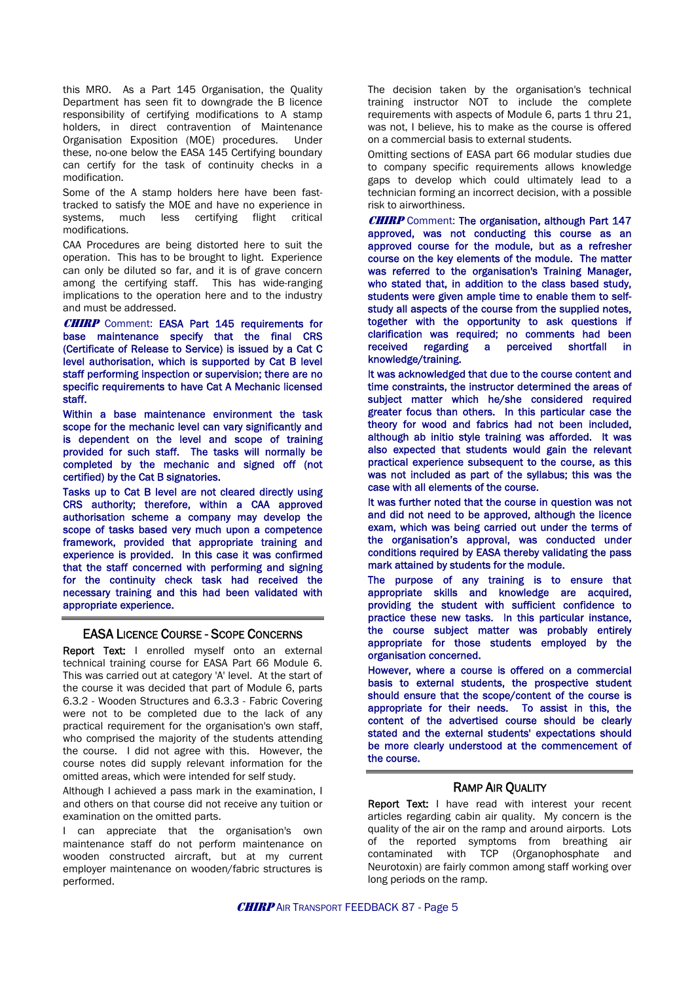this MRO. As a Part 145 Organisation, the Quality Department has seen fit to downgrade the B licence responsibility of certifying modifications to A stamp holders, in direct contravention of Maintenance Organisation Exposition (MOE) procedures. Under these, no-one below the EASA 145 Certifying boundary can certify for the task of continuity checks in a modification.

Some of the A stamp holders here have been fasttracked to satisfy the MOE and have no experience in systems, much less certifying flight critical modifications.

CAA Procedures are being distorted here to suit the operation. This has to be brought to light. Experience can only be diluted so far, and it is of grave concern among the certifying staff. This has wide-ranging implications to the operation here and to the industry and must be addressed.

CHIRP Comment: EASA Part 145 requirements for base maintenance specify that the final CRS (Certificate of Release to Service) is issued by a Cat C level authorisation, which is supported by Cat B level staff performing inspection or supervision; there are no specific requirements to have Cat A Mechanic licensed staff.

Within a base maintenance environment the task scope for the mechanic level can vary significantly and is dependent on the level and scope of training provided for such staff. The tasks will normally be completed by the mechanic and signed off (not certified) by the Cat B signatories.

Tasks up to Cat B level are not cleared directly using CRS authority; therefore, within a CAA approved authorisation scheme a company may develop the scope of tasks based very much upon a competence framework, provided that appropriate training and experience is provided. In this case it was confirmed that the staff concerned with performing and signing for the continuity check task had received the necessary training and this had been validated with appropriate experience.

#### EASA LICENCE COURSE - SCOPE CONCERNS

Report Text: I enrolled myself onto an external technical training course for EASA Part 66 Module 6. This was carried out at category 'A' level. At the start of the course it was decided that part of Module 6, parts 6.3.2 - Wooden Structures and 6.3.3 - Fabric Covering were not to be completed due to the lack of any practical requirement for the organisation's own staff, who comprised the majority of the students attending the course. I did not agree with this. However, the course notes did supply relevant information for the omitted areas, which were intended for self study.

Although I achieved a pass mark in the examination, I and others on that course did not receive any tuition or examination on the omitted parts.

I can appreciate that the organisation's own maintenance staff do not perform maintenance on wooden constructed aircraft, but at my current employer maintenance on wooden/fabric structures is performed.

The decision taken by the organisation's technical training instructor NOT to include the complete requirements with aspects of Module 6, parts 1 thru 21, was not, I believe, his to make as the course is offered on a commercial basis to external students.

Omitting sections of EASA part 66 modular studies due to company specific requirements allows knowledge gaps to develop which could ultimately lead to a technician forming an incorrect decision, with a possible risk to airworthiness.

**CHIRP** Comment: The organisation, although Part 147 approved, was not conducting this course as an approved course for the module, but as a refresher course on the key elements of the module. The matter was referred to the organisation's Training Manager, who stated that, in addition to the class based study, students were given ample time to enable them to selfstudy all aspects of the course from the supplied notes, together with the opportunity to ask questions if clarification was required; no comments had been received regarding a perceived shortfall in knowledge/training.

It was acknowledged that due to the course content and time constraints, the instructor determined the areas of subject matter which he/she considered required greater focus than others. In this particular case the theory for wood and fabrics had not been included, although ab initio style training was afforded. It was also expected that students would gain the relevant practical experience subsequent to the course, as this was not included as part of the syllabus; this was the case with all elements of the course.

It was further noted that the course in question was not and did not need to be approved, although the licence exam, which was being carried out under the terms of the organisation's approval, was conducted under conditions required by EASA thereby validating the pass mark attained by students for the module.

The purpose of any training is to ensure that appropriate skills and knowledge are acquired, providing the student with sufficient confidence to practice these new tasks. In this particular instance, the course subject matter was probably entirely appropriate for those students employed by the organisation concerned.

However, where a course is offered on a commercial basis to external students, the prospective student should ensure that the scope/content of the course is appropriate for their needs. To assist in this, the content of the advertised course should be clearly stated and the external students' expectations should be more clearly understood at the commencement of the course.

#### RAMP AIR QUALITY

Report Text: I have read with interest your recent articles regarding cabin air quality. My concern is the quality of the air on the ramp and around airports. Lots of the reported symptoms from breathing air contaminated with TCP (Organophosphate and Neurotoxin) are fairly common among staff working over long periods on the ramp.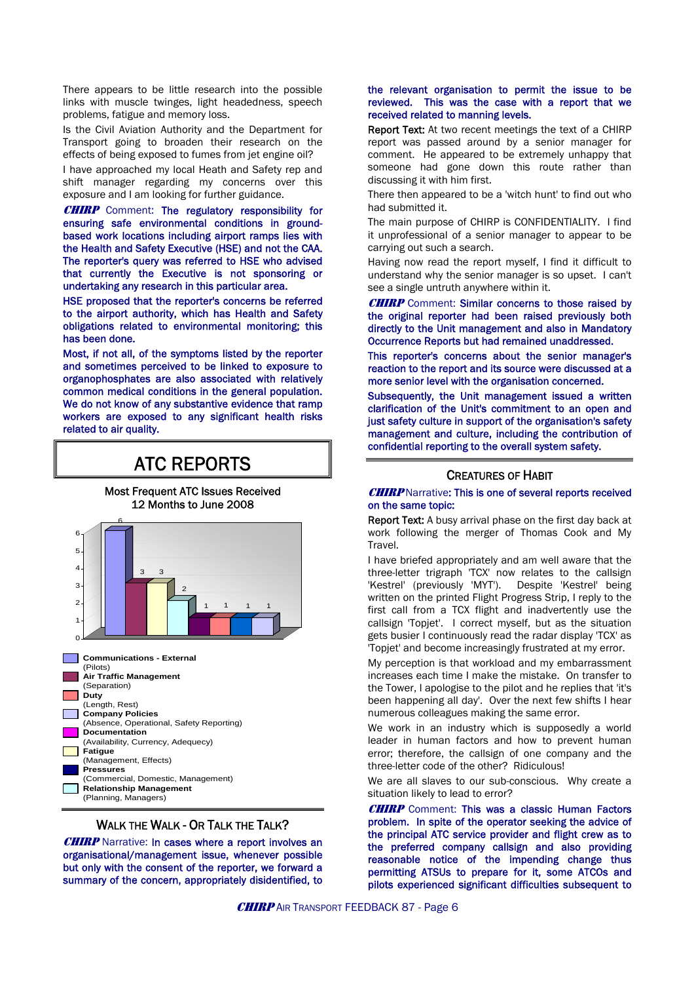There appears to be little research into the possible links with muscle twinges, light headedness, speech problems, fatigue and memory loss.

Is the Civil Aviation Authority and the Department for Transport going to broaden their research on the effects of being exposed to fumes from jet engine oil?

I have approached my local Heath and Safety rep and shift manager regarding my concerns over this exposure and I am looking for further guidance.

**CHIRP** Comment: The regulatory responsibility for ensuring safe environmental conditions in groundbased work locations including airport ramps lies with the Health and Safety Executive (HSE) and not the CAA. The reporter's query was referred to HSE who advised that currently the Executive is not sponsoring or undertaking any research in this particular area.

HSE proposed that the reporter's concerns be referred to the airport authority, which has Health and Safety obligations related to environmental monitoring; this has been done.

Most, if not all, of the symptoms listed by the reporter and sometimes perceived to be linked to exposure to organophosphates are also associated with relatively common medical conditions in the general population. We do not know of any substantive evidence that ramp workers are exposed to any significant health risks related to air quality.

## ATC REPORTS

Most Frequent ATC Issues Received 12 Months to June 2008



#### WALK THE WALK - OR TALK THE TALK?

**CHIRP** Narrative: In cases where a report involves an organisational/management issue, whenever possible but only with the consent of the reporter, we forward a summary of the concern, appropriately disidentified, to

#### the relevant organisation to permit the issue to be reviewed. This was the case with a report that we received related to manning levels.

Report Text: At two recent meetings the text of a CHIRP report was passed around by a senior manager for comment. He appeared to be extremely unhappy that someone had gone down this route rather than discussing it with him first.

There then appeared to be a 'witch hunt' to find out who had submitted it.

The main purpose of CHIRP is CONFIDENTIALITY. I find it unprofessional of a senior manager to appear to be carrying out such a search.

Having now read the report myself, I find it difficult to understand why the senior manager is so upset. I can't see a single untruth anywhere within it.

**CHIRP** Comment: Similar concerns to those raised by the original reporter had been raised previously both directly to the Unit management and also in Mandatory Occurrence Reports but had remained unaddressed.

This reporter's concerns about the senior manager's reaction to the report and its source were discussed at a more senior level with the organisation concerned.

Subsequently, the Unit management issued a written clarification of the Unit's commitment to an open and just safety culture in support of the organisation's safety management and culture, including the contribution of confidential reporting to the overall system safety.

#### CREATURES OF HABIT

#### **CHIRP** Narrative: This is one of several reports received on the same topic:

Report Text: A busy arrival phase on the first day back at work following the merger of Thomas Cook and My Travel.

I have briefed appropriately and am well aware that the three-letter trigraph 'TCX' now relates to the callsign 'Kestrel' (previously 'MYT'). Despite 'Kestrel' being written on the printed Flight Progress Strip, I reply to the first call from a TCX flight and inadvertently use the callsign 'Topjet'. I correct myself, but as the situation gets busier I continuously read the radar display 'TCX' as 'Topjet' and become increasingly frustrated at my error.

My perception is that workload and my embarrassment increases each time I make the mistake. On transfer to the Tower, I apologise to the pilot and he replies that 'it's been happening all day'. Over the next few shifts I hear numerous colleagues making the same error.

We work in an industry which is supposedly a world leader in human factors and how to prevent human error; therefore, the callsign of one company and the three-letter code of the other? Ridiculous!

We are all slaves to our sub-conscious. Why create a situation likely to lead to error?

**CHIRP** Comment: This was a classic Human Factors problem. In spite of the operator seeking the advice of the principal ATC service provider and flight crew as to the preferred company callsign and also providing reasonable notice of the impending change thus permitting ATSUs to prepare for it, some ATCOs and pilots experienced significant difficulties subsequent to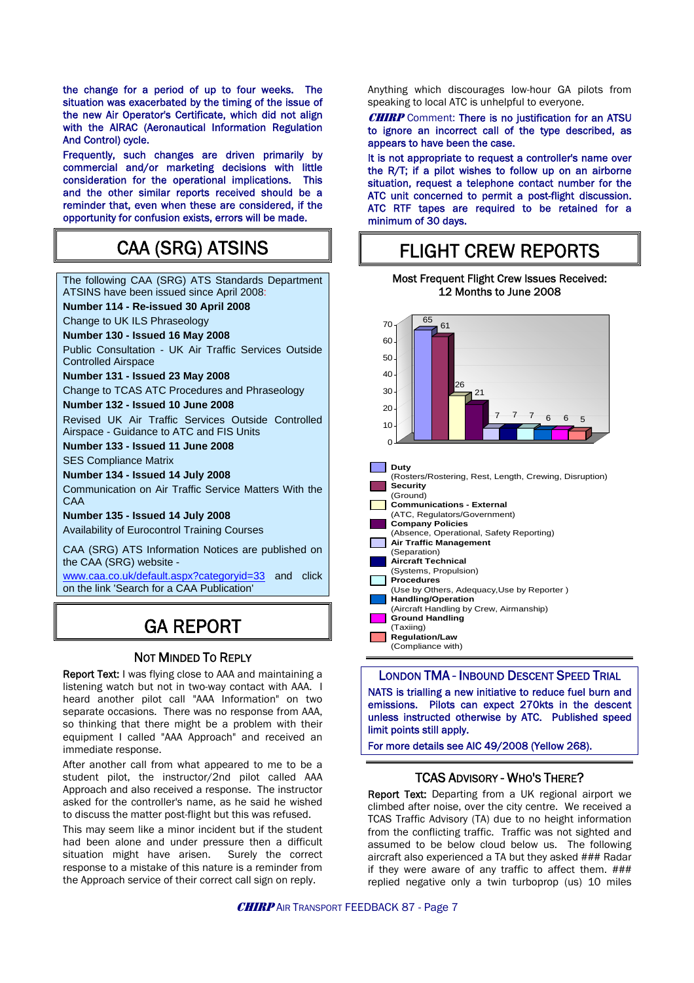the change for a period of up to four weeks. The situation was exacerbated by the timing of the issue of the new Air Operator's Certificate, which did not align with the AIRAC (Aeronautical Information Regulation And Control) cycle.

Frequently, such changes are driven primarily by commercial and/or marketing decisions with little consideration for the operational implications. This and the other similar reports received should be a reminder that, even when these are considered, if the opportunity for confusion exists, errors will be made.

## CAA (SRG) ATSINS

The following CAA (SRG) ATS Standards Department ATSINS have been issued since April 2008: **Number 114 - Re-issued 30 April 2008** Change to UK ILS Phraseology **Number 130 - Issued 16 May 2008**  Public Consultation - UK Air Traffic Services Outside Controlled Airspace **Number 131 - Issued 23 May 2008** Change to TCAS ATC Procedures and Phraseology **Number 132 - Issued 10 June 2008** Revised UK Air Traffic Services Outside Controlled Airspace - Guidance to ATC and FIS Units **Number 133 - Issued 11 June 2008** SES Compliance Matrix **Number 134 - Issued 14 July 2008** Communication on Air Traffic Service Matters With the CAA **Number 135 - Issued 14 July 2008** Availability of Eurocontrol Training Courses CAA (SRG) ATS Information Notices are published on the CAA (SRG) website [www.caa.co.uk/default.aspx?categoryid=33](http://www.caa.co.uk/default.aspx?categoryid=33) and click on the link 'Search for a CAA Publication' GA REPORT

## NOT MINDED TO REPLY

Report Text: I was flying close to AAA and maintaining a listening watch but not in two-way contact with AAA. I heard another pilot call "AAA Information" on two separate occasions. There was no response from AAA, so thinking that there might be a problem with their equipment I called "AAA Approach" and received an immediate response.

After another call from what appeared to me to be a student pilot, the instructor/2nd pilot called AAA Approach and also received a response. The instructor asked for the controller's name, as he said he wished to discuss the matter post-flight but this was refused.

This may seem like a minor incident but if the student had been alone and under pressure then a difficult situation might have arisen. Surely the correct response to a mistake of this nature is a reminder from the Approach service of their correct call sign on reply.

Anything which discourages low-hour GA pilots from speaking to local ATC is unhelpful to everyone.

#### **CHIRP** Comment: There is no justification for an ATSU to ignore an incorrect call of the type described, as appears to have been the case.

It is not appropriate to request a controller's name over the R/T; if a pilot wishes to follow up on an airborne situation, request a telephone contact number for the ATC unit concerned to permit a post-flight discussion. ATC RTF tapes are required to be retained for a minimum of 30 days.

## FLIGHT CREW REPORTS

#### Most Frequent Flight Crew Issues Received: 12 Months to June 2008



LONDON TMA - INBOUND DESCENT SPEED TRIAL

NATS is trialling a new initiative to reduce fuel burn and emissions. Pilots can expect 270kts in the descent unless instructed otherwise by ATC. Published speed limit points still apply.

For more details see AIC 49/2008 (Yellow 268).

## TCAS ADVISORY - WHO'S THERE?

Report Text: Departing from a UK regional airport we climbed after noise, over the city centre. We received a TCAS Traffic Advisory (TA) due to no height information from the conflicting traffic. Traffic was not sighted and assumed to be below cloud below us. The following aircraft also experienced a TA but they asked ### Radar if they were aware of any traffic to affect them. ### replied negative only a twin turboprop (us) 10 miles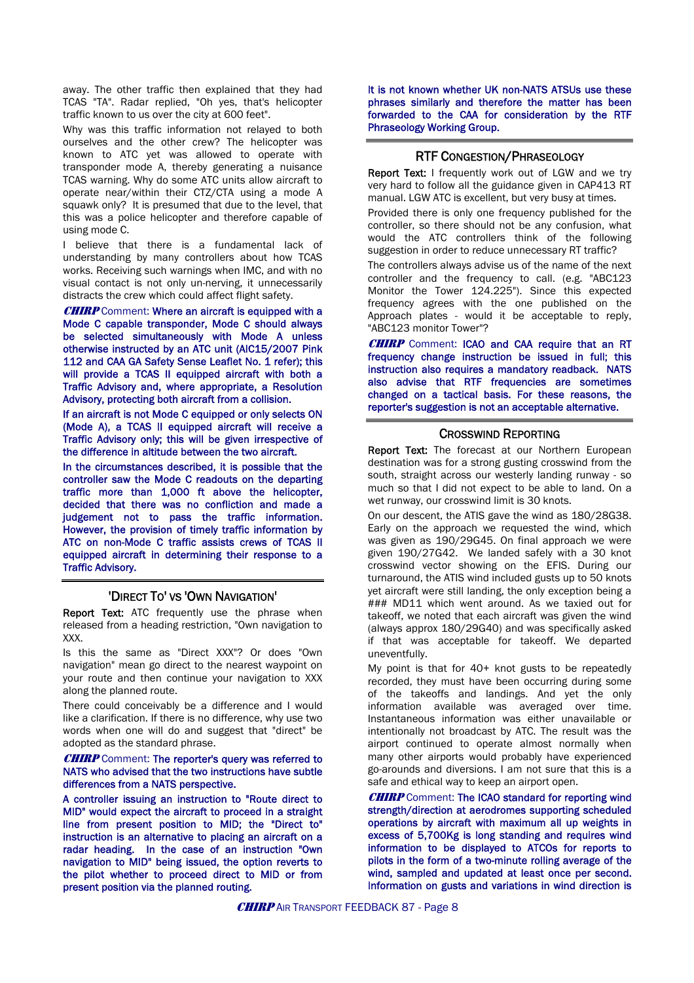away. The other traffic then explained that they had TCAS "TA". Radar replied, "Oh yes, that's helicopter traffic known to us over the city at 600 feet".

Why was this traffic information not relayed to both ourselves and the other crew? The helicopter was known to ATC yet was allowed to operate with transponder mode A, thereby generating a nuisance TCAS warning. Why do some ATC units allow aircraft to operate near/within their CTZ/CTA using a mode A squawk only? It is presumed that due to the level, that this was a police helicopter and therefore capable of using mode C.

I believe that there is a fundamental lack of understanding by many controllers about how TCAS works. Receiving such warnings when IMC, and with no visual contact is not only un-nerving, it unnecessarily distracts the crew which could affect flight safety.

**CHIRP** Comment: Where an aircraft is equipped with a Mode C capable transponder, Mode C should always be selected simultaneously with Mode A unless otherwise instructed by an ATC unit (AIC15/2007 Pink 112 and CAA GA Safety Sense Leaflet No. 1 refer); this will provide a TCAS II equipped aircraft with both a Traffic Advisory and, where appropriate, a Resolution Advisory, protecting both aircraft from a collision.

If an aircraft is not Mode C equipped or only selects ON (Mode A), a TCAS II equipped aircraft will receive a Traffic Advisory only; this will be given irrespective of the difference in altitude between the two aircraft.

In the circumstances described, it is possible that the controller saw the Mode C readouts on the departing traffic more than 1,000 ft above the helicopter, decided that there was no confliction and made a judgement not to pass the traffic information. However, the provision of timely traffic information by ATC on non-Mode C traffic assists crews of TCAS II equipped aircraft in determining their response to a Traffic Advisory.

#### 'DIRECT TO' VS 'OWN NAVIGATION'

Report Text: ATC frequently use the phrase when released from a heading restriction, "Own navigation to XXX.

Is this the same as "Direct XXX"? Or does "Own navigation" mean go direct to the nearest waypoint on your route and then continue your navigation to XXX along the planned route.

There could conceivably be a difference and I would like a clarification. If there is no difference, why use two words when one will do and suggest that "direct" be adopted as the standard phrase.

#### **CHIRP** Comment: The reporter's query was referred to NATS who advised that the two instructions have subtle differences from a NATS perspective.

A controller issuing an instruction to "Route direct to MID" would expect the aircraft to proceed in a straight line from present position to MID; the "Direct to" instruction is an alternative to placing an aircraft on a radar heading. In the case of an instruction "Own navigation to MID" being issued, the option reverts to the pilot whether to proceed direct to MID or from present position via the planned routing.

It is not known whether UK non-NATS ATSUs use these phrases similarly and therefore the matter has been forwarded to the CAA for consideration by the RTF Phraseology Working Group.

#### RTF CONGESTION/PHRASEOLOGY

Report Text: I frequently work out of LGW and we try very hard to follow all the guidance given in CAP413 RT manual. LGW ATC is excellent, but very busy at times.

Provided there is only one frequency published for the controller, so there should not be any confusion, what would the ATC controllers think of the following suggestion in order to reduce unnecessary RT traffic?

The controllers always advise us of the name of the next controller and the frequency to call. (e.g. "ABC123 Monitor the Tower 124.225"). Since this expected frequency agrees with the one published on the Approach plates - would it be acceptable to reply, "ABC123 monitor Tower"?

**CHIRP** Comment: ICAO and CAA require that an RT frequency change instruction be issued in full; this instruction also requires a mandatory readback. NATS also advise that RTF frequencies are sometimes changed on a tactical basis. For these reasons, the reporter's suggestion is not an acceptable alternative.

#### CROSSWIND REPORTING

Report Text: The forecast at our Northern European destination was for a strong gusting crosswind from the south, straight across our westerly landing runway - so much so that I did not expect to be able to land. On a wet runway, our crosswind limit is 30 knots.

On our descent, the ATIS gave the wind as 180/28G38. Early on the approach we requested the wind, which was given as 190/29G45. On final approach we were given 190/27G42. We landed safely with a 30 knot crosswind vector showing on the EFIS. During our turnaround, the ATIS wind included gusts up to 50 knots yet aircraft were still landing, the only exception being a ### MD11 which went around. As we taxied out for takeoff, we noted that each aircraft was given the wind (always approx 180/29G40) and was specifically asked if that was acceptable for takeoff. We departed uneventfully.

My point is that for 40+ knot gusts to be repeatedly recorded, they must have been occurring during some of the takeoffs and landings. And yet the only information available was averaged over time. Instantaneous information was either unavailable or intentionally not broadcast by ATC. The result was the airport continued to operate almost normally when many other airports would probably have experienced go-arounds and diversions. I am not sure that this is a safe and ethical way to keep an airport open.

**CHIRP** Comment: The ICAO standard for reporting wind strength/direction at aerodromes supporting scheduled operations by aircraft with maximum all up weights in excess of 5,700Kg is long standing and requires wind information to be displayed to ATCOs for reports to pilots in the form of a two-minute rolling average of the wind, sampled and updated at least once per second. Information on gusts and variations in wind direction is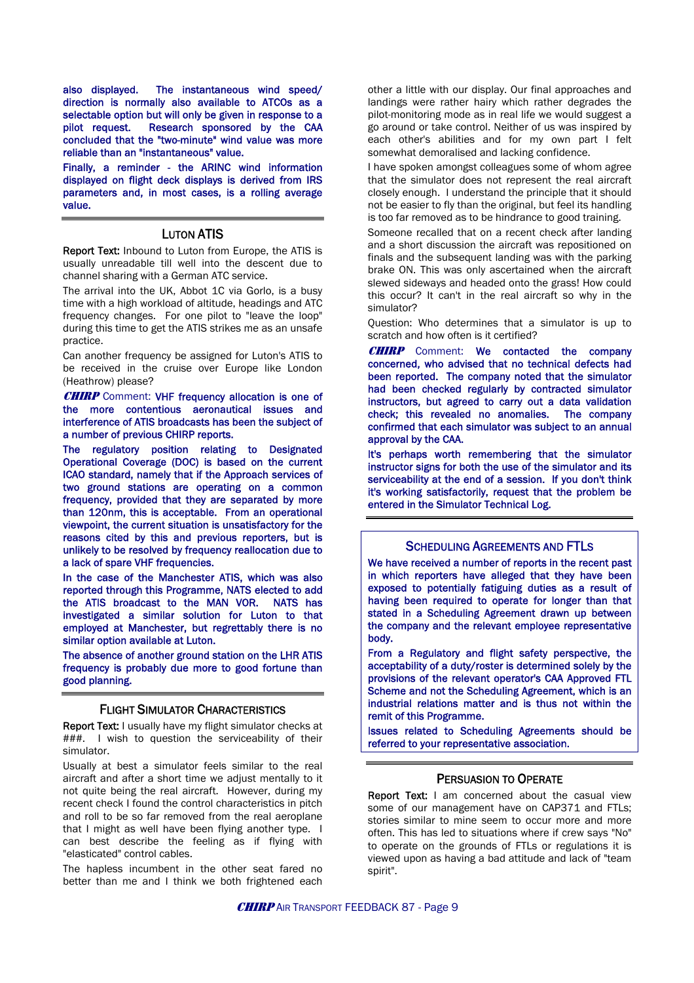also displayed. The instantaneous wind speed/ direction is normally also available to ATCOs as a selectable option but will only be given in response to a pilot request. Research sponsored by the CAA concluded that the "two-minute" wind value was more reliable than an "instantaneous" value.

Finally, a reminder - the ARINC wind information displayed on flight deck displays is derived from IRS parameters and, in most cases, is a rolling average value.

#### LUTON ATIS

Report Text: Inbound to Luton from Europe, the ATIS is usually unreadable till well into the descent due to channel sharing with a German ATC service.

The arrival into the UK, Abbot 1C via Gorlo, is a busy time with a high workload of altitude, headings and ATC frequency changes. For one pilot to "leave the loop" during this time to get the ATIS strikes me as an unsafe practice.

Can another frequency be assigned for Luton's ATIS to be received in the cruise over Europe like London (Heathrow) please?

**CHIRP** Comment: VHF frequency allocation is one of the more contentious aeronautical issues and interference of ATIS broadcasts has been the subject of a number of previous CHIRP reports.

The regulatory position relating to Designated Operational Coverage (DOC) is based on the current ICAO standard, namely that if the Approach services of two ground stations are operating on a common frequency, provided that they are separated by more than 120nm, this is acceptable. From an operational viewpoint, the current situation is unsatisfactory for the reasons cited by this and previous reporters, but is unlikely to be resolved by frequency reallocation due to a lack of spare VHF frequencies.

In the case of the Manchester ATIS, which was also reported through this Programme, NATS elected to add the ATIS broadcast to the MAN VOR. NATS has investigated a similar solution for Luton to that employed at Manchester, but regrettably there is no similar option available at Luton.

The absence of another ground station on the LHR ATIS frequency is probably due more to good fortune than good planning.

#### FLIGHT SIMULATOR CHARACTERISTICS

Report Text: I usually have my flight simulator checks at ###. I wish to question the serviceability of their simulator.

Usually at best a simulator feels similar to the real aircraft and after a short time we adjust mentally to it not quite being the real aircraft. However, during my recent check I found the control characteristics in pitch and roll to be so far removed from the real aeroplane that I might as well have been flying another type. I can best describe the feeling as if flying with "elasticated" control cables.

The hapless incumbent in the other seat fared no better than me and I think we both frightened each other a little with our display. Our final approaches and landings were rather hairy which rather degrades the pilot-monitoring mode as in real life we would suggest a go around or take control. Neither of us was inspired by each other's abilities and for my own part I felt somewhat demoralised and lacking confidence.

I have spoken amongst colleagues some of whom agree that the simulator does not represent the real aircraft closely enough. I understand the principle that it should not be easier to fly than the original, but feel its handling is too far removed as to be hindrance to good training.

Someone recalled that on a recent check after landing and a short discussion the aircraft was repositioned on finals and the subsequent landing was with the parking brake ON. This was only ascertained when the aircraft slewed sideways and headed onto the grass! How could this occur? It can't in the real aircraft so why in the simulator?

Question: Who determines that a simulator is up to scratch and how often is it certified?

**CHIRP** Comment: We contacted the company concerned, who advised that no technical defects had been reported. The company noted that the simulator had been checked regularly by contracted simulator instructors, but agreed to carry out a data validation check; this revealed no anomalies. The company confirmed that each simulator was subject to an annual approval by the CAA.

It's perhaps worth remembering that the simulator instructor signs for both the use of the simulator and its serviceability at the end of a session. If you don't think it's working satisfactorily, request that the problem be entered in the Simulator Technical Log.

#### SCHEDULING AGREEMENTS AND FTLS

We have received a number of reports in the recent past in which reporters have alleged that they have been exposed to potentially fatiguing duties as a result of having been required to operate for longer than that stated in a Scheduling Agreement drawn up between the company and the relevant employee representative body.

From a Regulatory and flight safety perspective, the acceptability of a duty/roster is determined solely by the provisions of the relevant operator's CAA Approved FTL Scheme and not the Scheduling Agreement, which is an industrial relations matter and is thus not within the remit of this Programme.

Issues related to Scheduling Agreements should be referred to your representative association.

#### PERSUASION TO OPERATE

Report Text: I am concerned about the casual view some of our management have on CAP371 and FTLs; stories similar to mine seem to occur more and more often. This has led to situations where if crew says "No" to operate on the grounds of FTLs or regulations it is viewed upon as having a bad attitude and lack of "team spirit".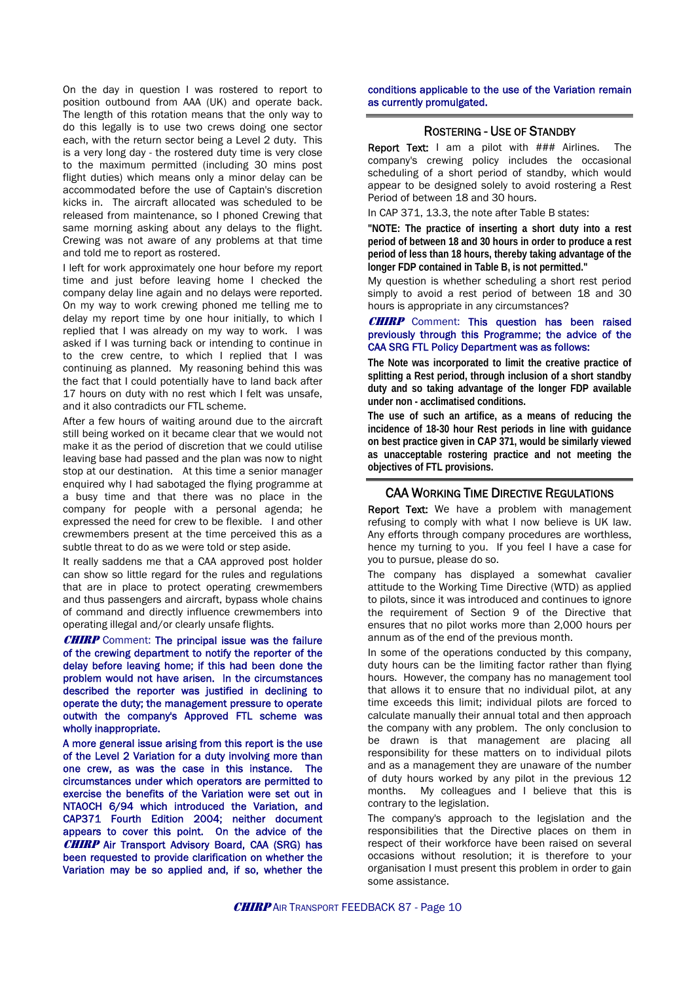On the day in question I was rostered to report to position outbound from AAA (UK) and operate back. The length of this rotation means that the only way to do this legally is to use two crews doing one sector each, with the return sector being a Level 2 duty. This is a very long day - the rostered duty time is very close to the maximum permitted (including 30 mins post flight duties) which means only a minor delay can be accommodated before the use of Captain's discretion kicks in. The aircraft allocated was scheduled to be released from maintenance, so I phoned Crewing that same morning asking about any delays to the flight. Crewing was not aware of any problems at that time and told me to report as rostered.

I left for work approximately one hour before my report time and just before leaving home I checked the company delay line again and no delays were reported. On my way to work crewing phoned me telling me to delay my report time by one hour initially, to which I replied that I was already on my way to work. I was asked if I was turning back or intending to continue in to the crew centre, to which I replied that I was continuing as planned. My reasoning behind this was the fact that I could potentially have to land back after 17 hours on duty with no rest which I felt was unsafe, and it also contradicts our FTL scheme.

After a few hours of waiting around due to the aircraft still being worked on it became clear that we would not make it as the period of discretion that we could utilise leaving base had passed and the plan was now to night stop at our destination. At this time a senior manager enquired why I had sabotaged the flying programme at a busy time and that there was no place in the company for people with a personal agenda; he expressed the need for crew to be flexible. I and other crewmembers present at the time perceived this as a subtle threat to do as we were told or step aside.

It really saddens me that a CAA approved post holder can show so little regard for the rules and regulations that are in place to protect operating crewmembers and thus passengers and aircraft, bypass whole chains of command and directly influence crewmembers into operating illegal and/or clearly unsafe flights.

**CHIRP** Comment: The principal issue was the failure of the crewing department to notify the reporter of the delay before leaving home; if this had been done the problem would not have arisen. In the circumstances described the reporter was justified in declining to operate the duty; the management pressure to operate outwith the company's Approved FTL scheme was wholly inappropriate.

A more general issue arising from this report is the use of the Level 2 Variation for a duty involving more than one crew, as was the case in this instance. The circumstances under which operators are permitted to exercise the benefits of the Variation were set out in NTAOCH 6/94 which introduced the Variation, and CAP371 Fourth Edition 2004; neither document appears to cover this point. On the advice of the CHIRP Air Transport Advisory Board, CAA (SRG) has been requested to provide clarification on whether the Variation may be so applied and, if so, whether the conditions applicable to the use of the Variation remain as currently promulgated.

#### ROSTERING - USE OF STANDBY

Report Text: I am a pilot with ### Airlines. The company's crewing policy includes the occasional scheduling of a short period of standby, which would appear to be designed solely to avoid rostering a Rest Period of between 18 and 30 hours.

In CAP 371, 13.3, the note after Table B states:

**"NOTE: The practice of inserting a short duty into a rest period of between 18 and 30 hours in order to produce a rest period of less than 18 hours, thereby taking advantage of the longer FDP contained in Table B, is not permitted."** 

My question is whether scheduling a short rest period simply to avoid a rest period of between 18 and 30 hours is appropriate in any circumstances?

#### **CHIRP** Comment: This question has been raised previously through this Programme; the advice of the CAA SRG FTL Policy Department was as follows:

**The Note was incorporated to limit the creative practice of splitting a Rest period, through inclusion of a short standby duty and so taking advantage of the longer FDP available under non - acclimatised conditions.** 

**The use of such an artifice, as a means of reducing the incidence of 18-30 hour Rest periods in line with guidance on best practice given in CAP 371, would be similarly viewed as unacceptable rostering practice and not meeting the objectives of FTL provisions.**

#### CAA WORKING TIME DIRECTIVE REGULATIONS

Report Text: We have a problem with management refusing to comply with what I now believe is UK law. Any efforts through company procedures are worthless, hence my turning to you. If you feel I have a case for you to pursue, please do so.

The company has displayed a somewhat cavalier attitude to the Working Time Directive (WTD) as applied to pilots, since it was introduced and continues to ignore the requirement of Section 9 of the Directive that ensures that no pilot works more than 2,000 hours per annum as of the end of the previous month.

In some of the operations conducted by this company, duty hours can be the limiting factor rather than flying hours. However, the company has no management tool that allows it to ensure that no individual pilot, at any time exceeds this limit; individual pilots are forced to calculate manually their annual total and then approach the company with any problem. The only conclusion to be drawn is that management are placing all responsibility for these matters on to individual pilots and as a management they are unaware of the number of duty hours worked by any pilot in the previous 12 months. My colleagues and I believe that this is contrary to the legislation.

The company's approach to the legislation and the responsibilities that the Directive places on them in respect of their workforce have been raised on several occasions without resolution; it is therefore to your organisation I must present this problem in order to gain some assistance.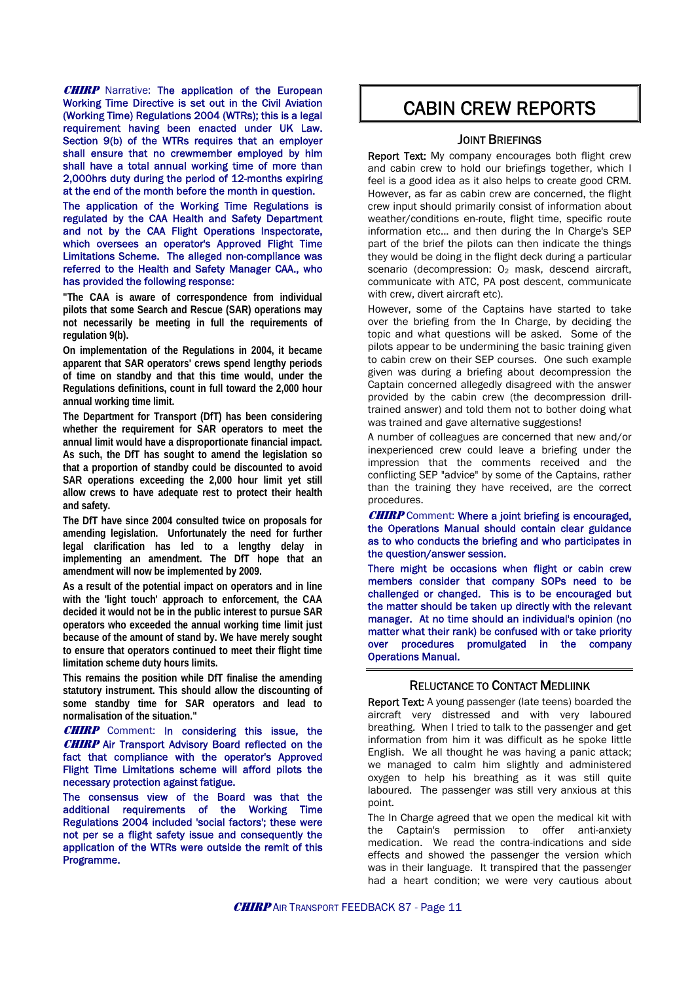**CHIRP** Narrative: The application of the European Working Time Directive is set out in the Civil Aviation (Working Time) Regulations 2004 (WTRs); this is a legal requirement having been enacted under UK Law. Section 9(b) of the WTRs requires that an employer shall ensure that no crewmember employed by him shall have a total annual working time of more than 2,000hrs duty during the period of 12-months expiring at the end of the month before the month in question.

The application of the Working Time Regulations is regulated by the CAA Health and Safety Department and not by the CAA Flight Operations Inspectorate, which oversees an operator's Approved Flight Time Limitations Scheme. The alleged non-compliance was referred to the Health and Safety Manager CAA., who has provided the following response:

**"The CAA is aware of correspondence from individual pilots that some Search and Rescue (SAR) operations may not necessarily be meeting in full the requirements of regulation 9(b).** 

**On implementation of the Regulations in 2004, it became apparent that SAR operators' crews spend lengthy periods of time on standby and that this time would, under the Regulations definitions, count in full toward the 2,000 hour annual working time limit.** 

**The Department for Transport (DfT) has been considering whether the requirement for SAR operators to meet the annual limit would have a disproportionate financial impact. As such, the DfT has sought to amend the legislation so that a proportion of standby could be discounted to avoid SAR operations exceeding the 2,000 hour limit yet still allow crews to have adequate rest to protect their health and safety.** 

**The DfT have since 2004 consulted twice on proposals for amending legislation. Unfortunately the need for further legal clarification has led to a lengthy delay in implementing an amendment. The DfT hope that an amendment will now be implemented by 2009.** 

**As a result of the potential impact on operators and in line with the 'light touch' approach to enforcement, the CAA decided it would not be in the public interest to pursue SAR operators who exceeded the annual working time limit just because of the amount of stand by. We have merely sought to ensure that operators continued to meet their flight time limitation scheme duty hours limits.** 

**This remains the position while DfT finalise the amending statutory instrument. This should allow the discounting of some standby time for SAR operators and lead to normalisation of the situation."** 

**CHIRP** Comment: In considering this issue, the **CHIRP** Air Transport Advisory Board reflected on the fact that compliance with the operator's Approved Flight Time Limitations scheme will afford pilots the necessary protection against fatigue.

The consensus view of the Board was that the additional requirements of the Working Time Regulations 2004 included 'social factors'; these were not per se a flight safety issue and consequently the application of the WTRs were outside the remit of this Programme.

## CABIN CREW REPORTS

#### JOINT BRIEFINGS

Report Text: My company encourages both flight crew and cabin crew to hold our briefings together, which I feel is a good idea as it also helps to create good CRM. However, as far as cabin crew are concerned, the flight crew input should primarily consist of information about weather/conditions en-route, flight time, specific route information etc... and then during the In Charge's SEP part of the brief the pilots can then indicate the things they would be doing in the flight deck during a particular scenario (decompression:  $O<sub>2</sub>$  mask, descend aircraft, communicate with ATC, PA post descent, communicate with crew, divert aircraft etc).

However, some of the Captains have started to take over the briefing from the In Charge, by deciding the topic and what questions will be asked. Some of the pilots appear to be undermining the basic training given to cabin crew on their SEP courses. One such example given was during a briefing about decompression the Captain concerned allegedly disagreed with the answer provided by the cabin crew (the decompression drilltrained answer) and told them not to bother doing what was trained and gave alternative suggestions!

A number of colleagues are concerned that new and/or inexperienced crew could leave a briefing under the impression that the comments received and the conflicting SEP "advice" by some of the Captains, rather than the training they have received, are the correct procedures.

**CHIRP** Comment: Where a joint briefing is encouraged, the Operations Manual should contain clear guidance as to who conducts the briefing and who participates in the question/answer session.

There might be occasions when flight or cabin crew members consider that company SOPs need to be challenged or changed. This is to be encouraged but the matter should be taken up directly with the relevant manager. At no time should an individual's opinion (no matter what their rank) be confused with or take priority over procedures promulgated in the company Operations Manual.

#### RELUCTANCE TO CONTACT MEDLIINK

Report Text: A young passenger (late teens) boarded the aircraft very distressed and with very laboured breathing. When I tried to talk to the passenger and get information from him it was difficult as he spoke little English. We all thought he was having a panic attack; we managed to calm him slightly and administered oxygen to help his breathing as it was still quite laboured. The passenger was still very anxious at this point.

The In Charge agreed that we open the medical kit with the Captain's permission to offer anti-anxiety medication. We read the contra-indications and side effects and showed the passenger the version which was in their language. It transpired that the passenger had a heart condition; we were very cautious about